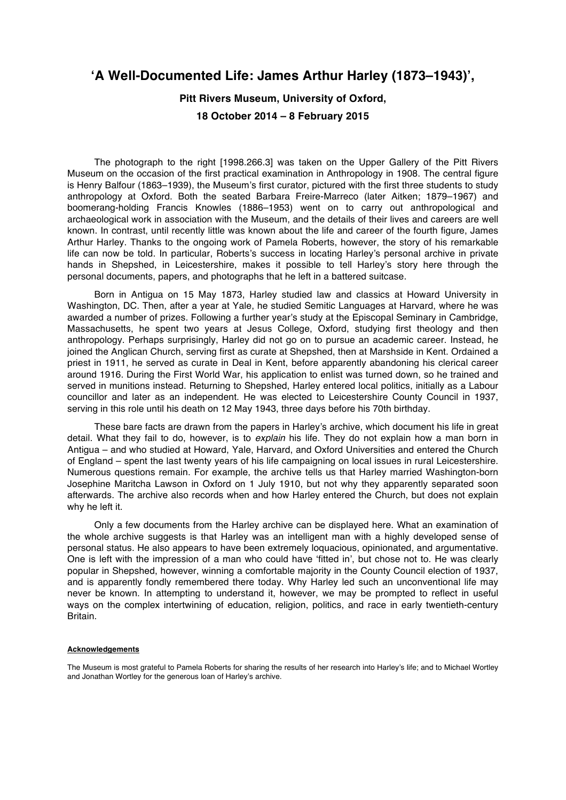# **'A Well-Documented Life: James Arthur Harley (1873–1943)',**

# **Pitt Rivers Museum, University of Oxford, 18 October 2014 – 8 February 2015**

The photograph to the right [1998.266.3] was taken on the Upper Gallery of the Pitt Rivers Museum on the occasion of the first practical examination in Anthropology in 1908. The central figure is Henry Balfour (1863–1939), the Museum's first curator, pictured with the first three students to study anthropology at Oxford. Both the seated Barbara Freire-Marreco (later Aitken; 1879–1967) and boomerang-holding Francis Knowles (1886–1953) went on to carry out anthropological and archaeological work in association with the Museum, and the details of their lives and careers are well known. In contrast, until recently little was known about the life and career of the fourth figure, James Arthur Harley. Thanks to the ongoing work of Pamela Roberts, however, the story of his remarkable life can now be told. In particular, Roberts's success in locating Harley's personal archive in private hands in Shepshed, in Leicestershire, makes it possible to tell Harley's story here through the personal documents, papers, and photographs that he left in a battered suitcase.

Born in Antigua on 15 May 1873, Harley studied law and classics at Howard University in Washington, DC. Then, after a year at Yale, he studied Semitic Languages at Harvard, where he was awarded a number of prizes. Following a further year's study at the Episcopal Seminary in Cambridge, Massachusetts, he spent two years at Jesus College, Oxford, studying first theology and then anthropology. Perhaps surprisingly, Harley did not go on to pursue an academic career. Instead, he joined the Anglican Church, serving first as curate at Shepshed, then at Marshside in Kent. Ordained a priest in 1911, he served as curate in Deal in Kent, before apparently abandoning his clerical career around 1916. During the First World War, his application to enlist was turned down, so he trained and served in munitions instead. Returning to Shepshed, Harley entered local politics, initially as a Labour councillor and later as an independent. He was elected to Leicestershire County Council in 1937, serving in this role until his death on 12 May 1943, three days before his 70th birthday.

These bare facts are drawn from the papers in Harley's archive, which document his life in great detail. What they fail to do, however, is to *explain* his life. They do not explain how a man born in Antigua – and who studied at Howard, Yale, Harvard, and Oxford Universities and entered the Church of England – spent the last twenty years of his life campaigning on local issues in rural Leicestershire. Numerous questions remain. For example, the archive tells us that Harley married Washington-born Josephine Maritcha Lawson in Oxford on 1 July 1910, but not why they apparently separated soon afterwards. The archive also records when and how Harley entered the Church, but does not explain why he left it.

Only a few documents from the Harley archive can be displayed here. What an examination of the whole archive suggests is that Harley was an intelligent man with a highly developed sense of personal status. He also appears to have been extremely loquacious, opinionated, and argumentative. One is left with the impression of a man who could have 'fitted in', but chose not to. He was clearly popular in Shepshed, however, winning a comfortable majority in the County Council election of 1937, and is apparently fondly remembered there today. Why Harley led such an unconventional life may never be known. In attempting to understand it, however, we may be prompted to reflect in useful ways on the complex intertwining of education, religion, politics, and race in early twentieth-century Britain.

### **Acknowledgements**

The Museum is most grateful to Pamela Roberts for sharing the results of her research into Harley's life; and to Michael Wortley and Jonathan Wortley for the generous loan of Harley's archive.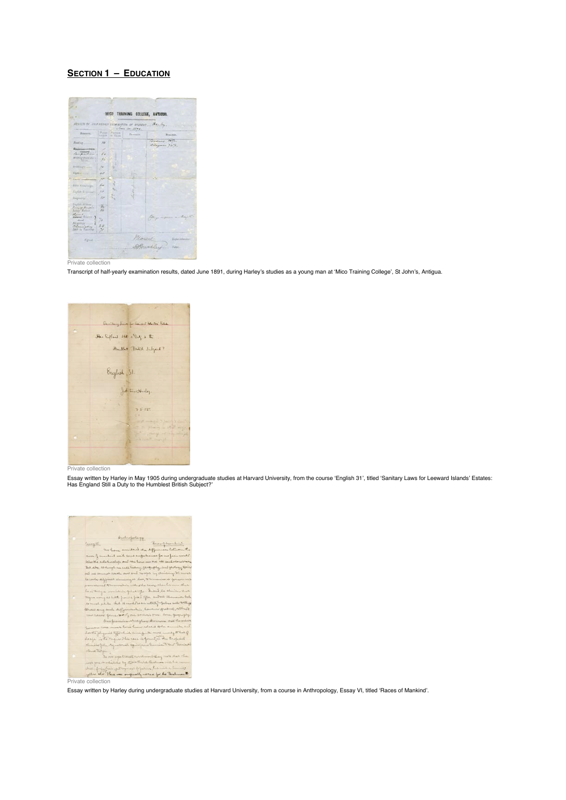## **SECTION 1 – EDUCATION**



Transcript of half-yearly examination results, dated June 1891, during Harley's studies as a young man at 'Mico Training College', St John's, Antigua.



Private collection

Essay written by Harley in May 1905 during undergraduate studies at Harvard University, from the course 'English 31', titled 'Sanitary Laws for Leeward Islands' Estates:<br>Has England Still a Duty to the Humblest British Sub



Essay written by Harley during undergraduate studies at Harvard University, from a course in Anthropology, Essay VI, titled 'Races of Mankind'.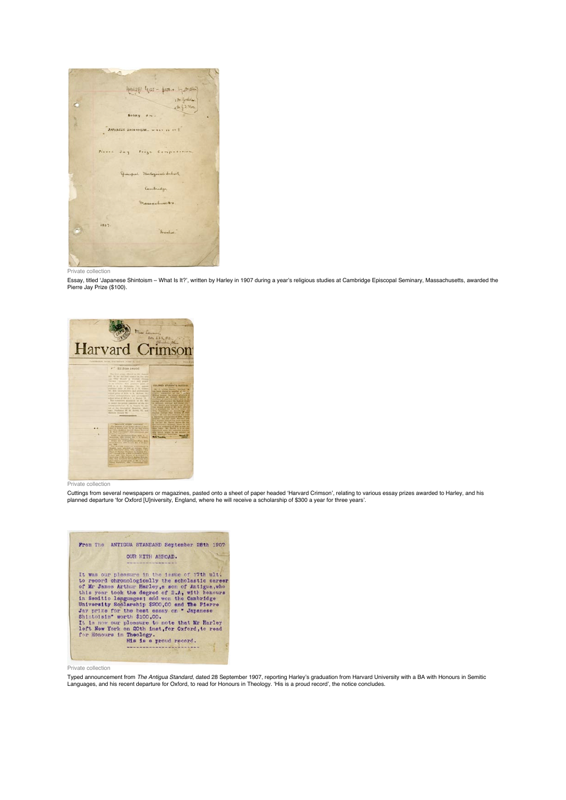

Essay, titled 'Japanese Shintoism – What Is It?', written by Harley in 1907 during a year's religious studies at Cambridge Episcopal Seminary, Massachusetts, awarded the Pierre Jay Prize (\$100).



Private collection

Cuttings from several newspapers or magazines, pasted onto a sheet of paper headed 'Harvard Crimson', relating to various essay prizes awarded to Harley, and his planned departure 'for Oxford [U]niversity, England, where he will receive a scholarship of \$300 a year for three years'.



Private collection

Typed announcement from *The Antigua Standard*, dated 28 September 1907, reporting Harley's graduation from Harvard University with a BA with Honours in Semitic<br>Languages, and his recent departure for Oxford, to read for H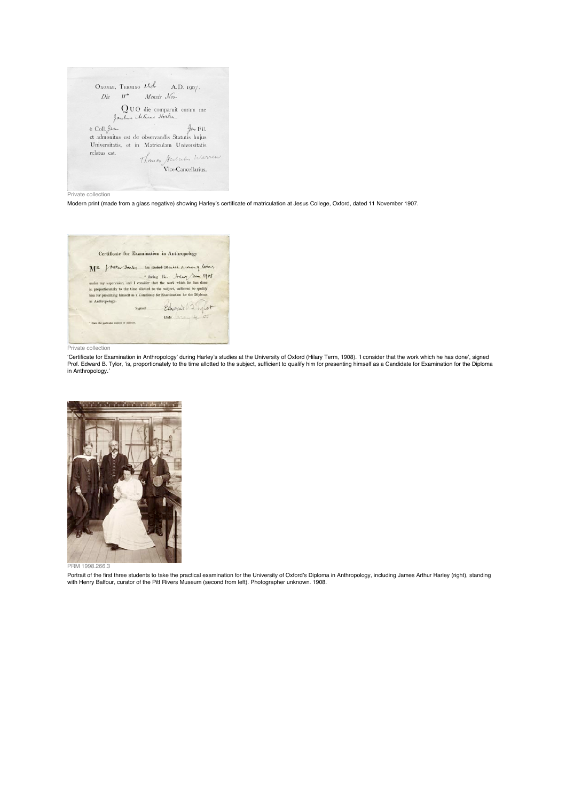OXONLE, TERMINO Akch A.D. 1907.  $Die$   $H^*$  Mensis  $N_{ev}$ .  $\begin{array}{c} \bigcirc \text{O} \text{U O} \text{ die comparuit coram me} \\ \text{\textit{fact} } \textit{A} \text{set} \textit{A} \textit{set} \textit{A} \textit{set} \textit{A} \textit{set} \textit{A} \textit{set} \textit{A} \textit{set} \textit{A} \textit{set} \textit{A} \textit{set} \textit{A} \textit{set} \textit{A} \textit{set} \textit{A} \textit{set} \textit{A} \textit{set} \textit{A} \textit{set} \textit{A} \textit{set} \textit{A} \textit{set}$ Universitatis, et in Matriculam Universitatis relatus est. Thomas Herbertus Warren

Modern print (made from a glass negative) showing Harley's certificate of matriculation at Jesus College, Oxford, dated 11 November 1907.

Certificate for Examination in Anthropology MR forthe Harley his studied-attention a coming leading  $\begin{tabular}{l|c|c|c|c} \hline \multicolumn{1}{c}{\textbf{M.R.}} \hline \multicolumn{1}{c}{\textbf{M.R.}} \hline \multicolumn{1}{c}{\textbf{M.R.}} \hline \multicolumn{1}{c}{\textbf{M.R.}} \hline \multicolumn{1}{c}{\textbf{M.R.}} \hline \multicolumn{1}{c}{\textbf{M.R.}} \hline \multicolumn{1}{c}{\textbf{M.R.}} \hline \multicolumn{1}{c}{\textbf{M.R.}} \hline \multicolumn{1}{c}{\textbf{M.R.}} \hline \multicolumn{1}{c}{\textbf{M.R.}} \hline \$  $^\star$  State the particular subject or satisects.

Private collection

'Certificate for Examination in Anthropology' during Harley's studies at the University of Oxford (Hilary Term, 1908). 'I consider that the work which he has done', signed Prof. Edward B. Tylor, 'is, proportionately to the time allotted to the subject, sufficient to qualify him for presenting himself as a Candidate for Examination for the Diploma<br>in Anthropology.'



PRM 1998.266.3

Portrait of the first three students to take the practical examination for the University of Oxford's Diploma in Anthropology, including James Arthur Harley (right), standing<br>with Henry Balfour, curator of the Pitt Rivers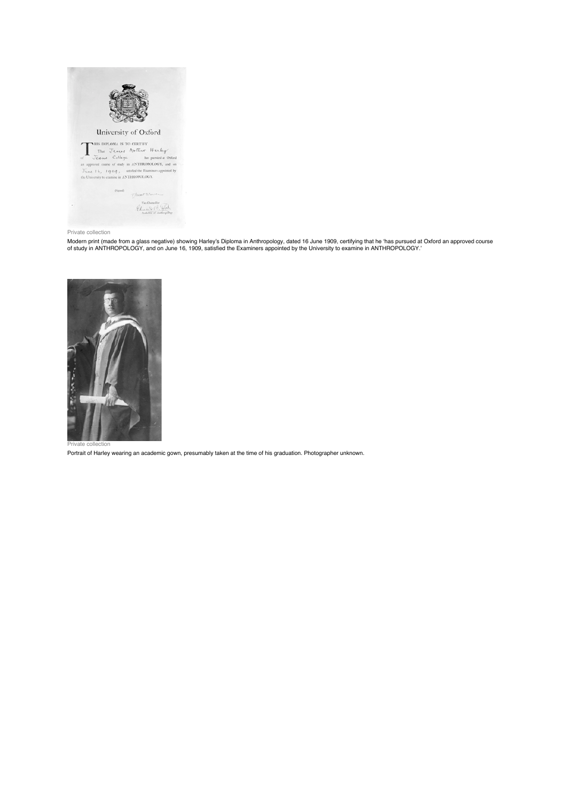

Modern print (made from a glass negative) showing Harley's Diploma in Anthropology, dated 16 June 1909, certifying that he 'has pursued at Oxford an approved course<br>of study in ANTHROPOLOGY, and on June 16, 1909, satisfied



Private collection

Portrait of Harley wearing an academic gown, presumably taken at the time of his graduation. Photographer unknown.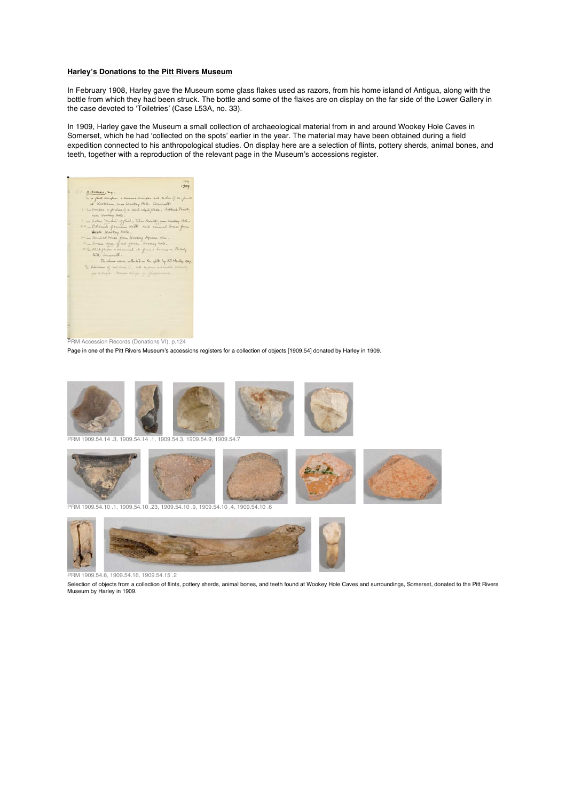#### **Harley's Donations to the Pitt Rivers Museum**

In February 1908, Harley gave the Museum some glass flakes used as razors, from his home island of Antigua, along with the bottle from which they had been struck. The bottle and some of the flakes are on display on the far side of the Lower Gallery in the case devoted to 'Toiletries' (Case L53A, no. 33).

In 1909, Harley gave the Museum a small collection of archaeological material from in and around Wookey Hole Caves in Somerset, which he had 'collected on the spots' earlier in the year. The material may have been obtained during a field expedition connected to his anthropological studies. On display here are a selection of flints, pottery sherds, animal bones, and teeth, together with a reproduction of the relevant page in the Museum's accessions register.



PRM Accession Records (Donations VI), p.124

Page in one of the Pitt Rivers Museum's accessions registers for a collection of objects [1909.54] donated by Harley in 1909.



PRM 1909.54.14 .3, 1909.54.14 .1, 1909.54.3, 1909.54.9, 1909.54.7



PRM 1909.54.10 .1, 1909.54.10 .23, 1909.54.10 .9, 1909.54.10 .4, 1909.54.10 .6



PRM 1909.54.6, 1909.54.16, 1909.54.15 .2

Selection of objects from a collection of flints, pottery sherds, animal bones, and teeth found at Wookey Hole Caves and surroundings, Somerset, donated to the Pitt Rivers Museum by Harley in 1909.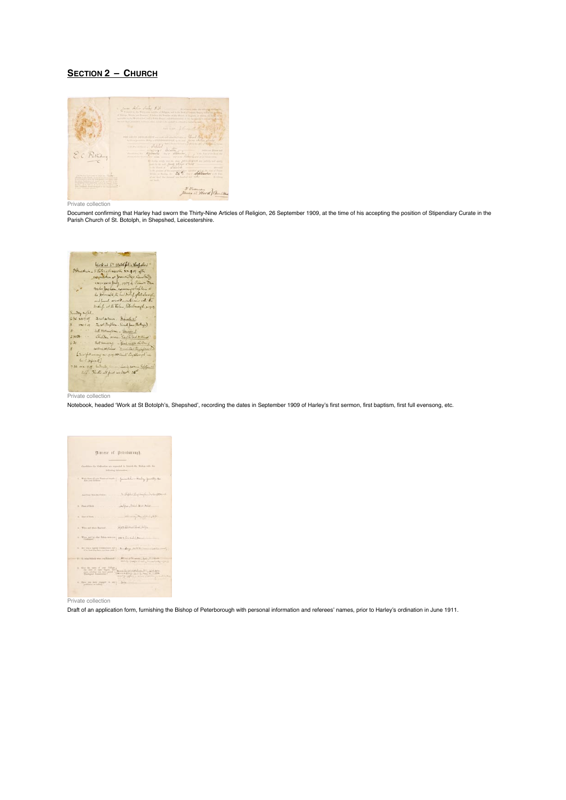# **SECTION 2 – CHURCH**



Private collection

Document confirming that Harley had sworn the Thirty-Nine Articles of Religion, 26 September 1909, at the time of his accepting the position of Stipendiary Curate in the<br>Parish Church of St. Botolph, in Shepshed, Leicester

| Work at ST Both follow Suppolis<br>Omichina<br>Stehrenceshi, xx 49 the<br>commission as franchilles, Cambridge<br>2281-2200 July 1409 by Camer Sten                                                                              |
|----------------------------------------------------------------------------------------------------------------------------------------------------------------------------------------------------------------------------------|
| Freehor Jackson, exemining chapterin to<br>the Amarch to the had Milled of Estadound,<br>and launch as well as interview with the                                                                                                |
| Brough at the belas, Petertrongle, x1929.<br>Sunday might<br>630.80.79                                                                                                                                                           |
| Fieldlaten, Barah VI.<br>$5 - 19479$<br>First (Briftish - Sanah Jones (Portlage)<br>$\label{eq:1} R^2 = \frac{1}{2} \left( \frac{1}{2} \right) \left( \frac{1}{2} \right) \left( \frac{1}{2} \right) \left( \frac{1}{2} \right)$ |
| och Molingham - James I<br>230歳 - -<br>Children service- Six of the last & thread?<br>$63e - 11$                                                                                                                                 |
| Full Downing - Buch with the fight and<br>I trial full womeny and of 19, all Sants househouseful new                                                                                                                             |
| an Chipson E)<br>7 St. War 99 harrists, man insig paren Fellow 11                                                                                                                                                                |
| Mix - Restionall pier walsof 26"                                                                                                                                                                                                 |
| Private collection                                                                                                                                                                                                               |

Notebook, headed 'Work at St Botolph's, Shepshed', recording the dates in September 1909 of Harley's first sermon, first baptism, first full evensong, etc.

| Biocese of Peterborough.                                                                                                                                                                                                                                                                                                                                 |
|----------------------------------------------------------------------------------------------------------------------------------------------------------------------------------------------------------------------------------------------------------------------------------------------------------------------------------------------------------|
| Cashken for Ocksalian are separated to Arabik the Diskop with the<br>following information<br>ĸ.                                                                                                                                                                                                                                                         |
| West than it are Normal begin . James below thereby . James by the                                                                                                                                                                                                                                                                                       |
| 2. Hofdel, Construction Sales<br>an-<br>had four fire for Oracan<br>Johns, Brick Unit Mater<br>6 Flow of Holt                                                                                                                                                                                                                                            |
| فللقر ويستهجها والمردود<br>A. Dan of Both 1.                                                                                                                                                                                                                                                                                                             |
| Man Historic Lot, Little<br>4:   Wind and where Buyland                                                                                                                                                                                                                                                                                                  |
| 1. Were not by what Bishey men over 18.8 %, and all of the<br><b>Timbank Time and</b><br>$\lambda$ . As we a regular resumment, and $\lambda$ . As a deep $\lambda=0.1$ is $\lambda=0.00$ for the loop have reached .                                                                                                                                    |
| At we of Heaven's Anti- Private<br>8-1-12 what fisheds man out Re<br>the local division in the control of the control of the control of                                                                                                                                                                                                                  |
| $\begin{picture}(130,10) \put(0,0){\line(1,0){15}} \put(0,0){\line(1,0){15}} \put(0,0){\line(1,0){15}} \put(0,0){\line(1,0){15}} \put(0,0){\line(1,0){15}} \put(0,0){\line(1,0){15}} \put(0,0){\line(1,0){15}} \put(0,0){\line(1,0){15}} \put(0,0){\line(1,0){15}} \put(0,0){\line(1,0){15}} \put(0,0){\line(1,0){15}} \put(0,0){\line(1,0){15}} \put(0$ |
| a three on non copyri in our). Jets<br>production on indicate and it was a<br>٠                                                                                                                                                                                                                                                                          |

Private collection

Draft of an application form, furnishing the Bishop of Peterborough with personal information and referees' names, prior to Harley's ordination in June 1911.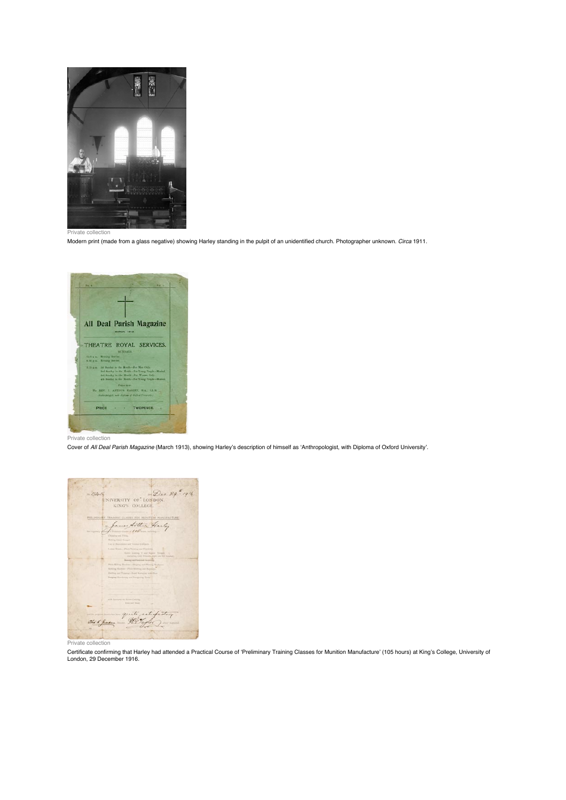

Modern print (made from a glass negative) showing Harley standing in the pulpit of an unidentified church. Photographer unknown. *Circa* 1911.



Private collection

Cover of *All Deal Parish Magazine* (March 1913), showing Harley's description of himself as 'Anthropologist, with Diploma of Oxford University'.



#### Private collection

Certificate confirming that Harley had attended a Practical Course of 'Preliminary Training Classes for Munition Manufacture' (105 hours) at King's College, University of London, 29 December 1916.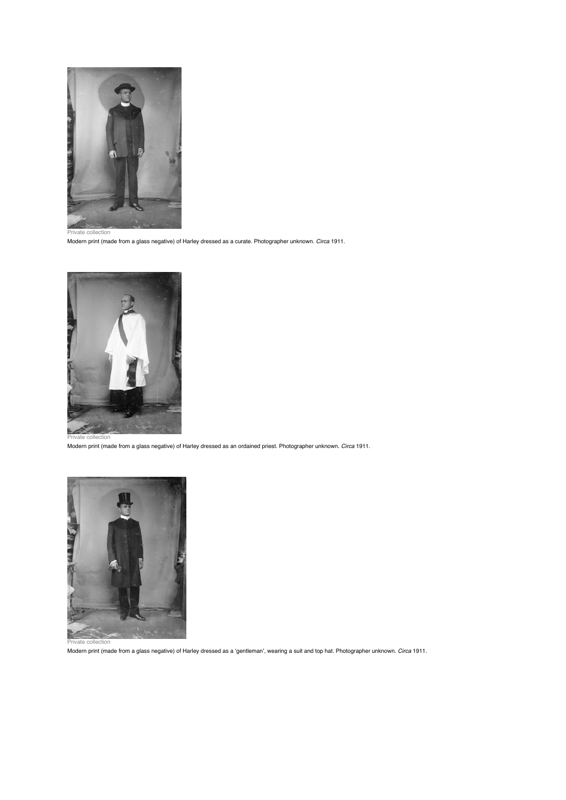

Modern print (made from a glass negative) of Harley dressed as a curate. Photographer unknown. *Circa* 1911.



Private collection

Modern print (made from a glass negative) of Harley dressed as an ordained priest. Photographer unknown. *Circa* 1911.



Private collection

Modern print (made from a glass negative) of Harley dressed as a 'gentleman', wearing a suit and top hat. Photographer unknown. *Circa* 1911.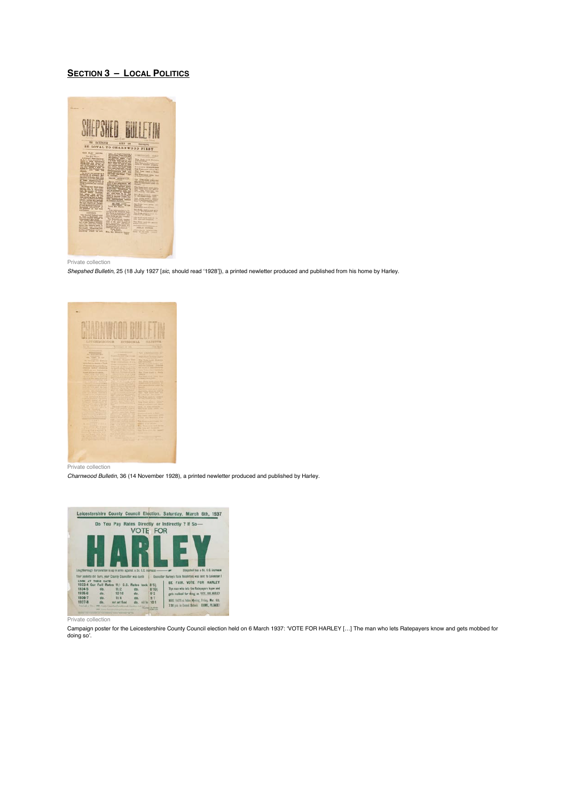### **SECTION 3 – LOCAL POLITICS**



Private collection

*Shepshed Bulletin*, 25 (18 July 1927 [*sic*, should read '1928']), a printed newletter produced and published from his home by Harley.



*Charnwood Bulletin*, 36 (14 November 1928), a printed newletter produced and published by Harley.



Private collection

Campaign poster for the Leicestershire County Council election held on 6 March 1937: 'VOTE FOR HARLEY […] The man who lets Ratepayers know and gets mobbed for doing so'.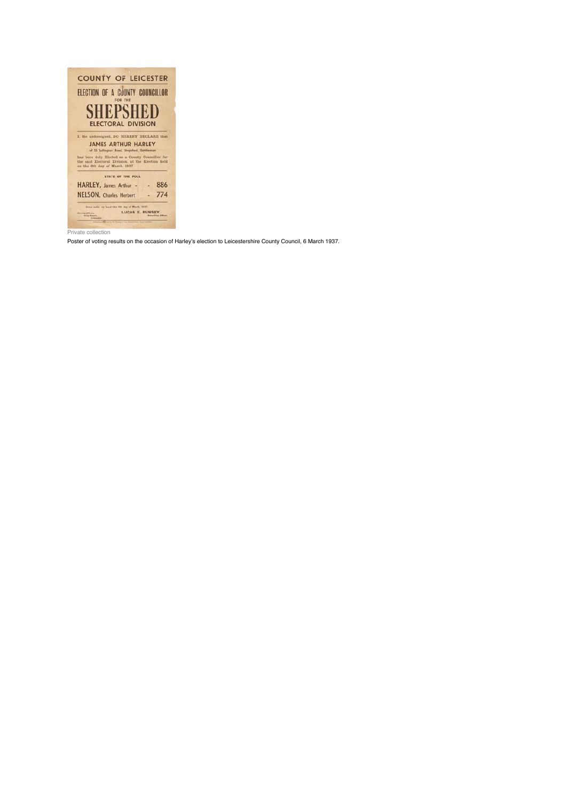

Poster of voting results on the occasion of Harley's election to Leicestershire County Council, 6 March 1937.